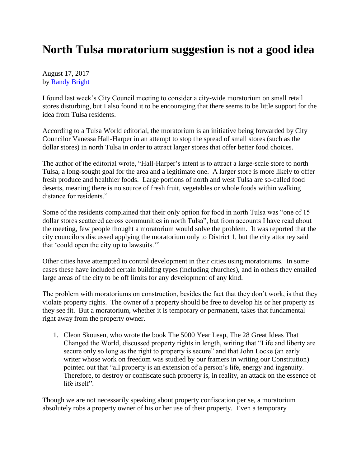## **North Tulsa moratorium suggestion is not a good idea**

August 17, 2017 by [Randy Bright](http://tulsabeacon.com/writers/randy-bright/)

I found last week's City Council meeting to consider a city-wide moratorium on small retail stores disturbing, but I also found it to be encouraging that there seems to be little support for the idea from Tulsa residents.

According to a Tulsa World editorial, the moratorium is an initiative being forwarded by City Councilor Vanessa Hall-Harper in an attempt to stop the spread of small stores (such as the dollar stores) in north Tulsa in order to attract larger stores that offer better food choices.

The author of the editorial wrote, "Hall-Harper's intent is to attract a large-scale store to north Tulsa, a long-sought goal for the area and a legitimate one. A larger store is more likely to offer fresh produce and healthier foods. Large portions of north and west Tulsa are so-called food deserts, meaning there is no source of fresh fruit, vegetables or whole foods within walking distance for residents."

Some of the residents complained that their only option for food in north Tulsa was "one of 15 dollar stores scattered across communities in north Tulsa", but from accounts I have read about the meeting, few people thought a moratorium would solve the problem. It was reported that the city councilors discussed applying the moratorium only to District 1, but the city attorney said that 'could open the city up to lawsuits.'"

Other cities have attempted to control development in their cities using moratoriums. In some cases these have included certain building types (including churches), and in others they entailed large areas of the city to be off limits for any development of any kind.

The problem with moratoriums on construction, besides the fact that they don't work, is that they violate property rights. The owner of a property should be free to develop his or her property as they see fit. But a moratorium, whether it is temporary or permanent, takes that fundamental right away from the property owner.

1. Cleon Skousen, who wrote the book The 5000 Year Leap, The 28 Great Ideas That Changed the World, discussed property rights in length, writing that "Life and liberty are secure only so long as the right to property is secure" and that John Locke (an early writer whose work on freedom was studied by our framers in writing our Constitution) pointed out that "all property is an extension of a person's life, energy and ingenuity. Therefore, to destroy or confiscate such property is, in reality, an attack on the essence of life itself".

Though we are not necessarily speaking about property confiscation per se, a moratorium absolutely robs a property owner of his or her use of their property. Even a temporary